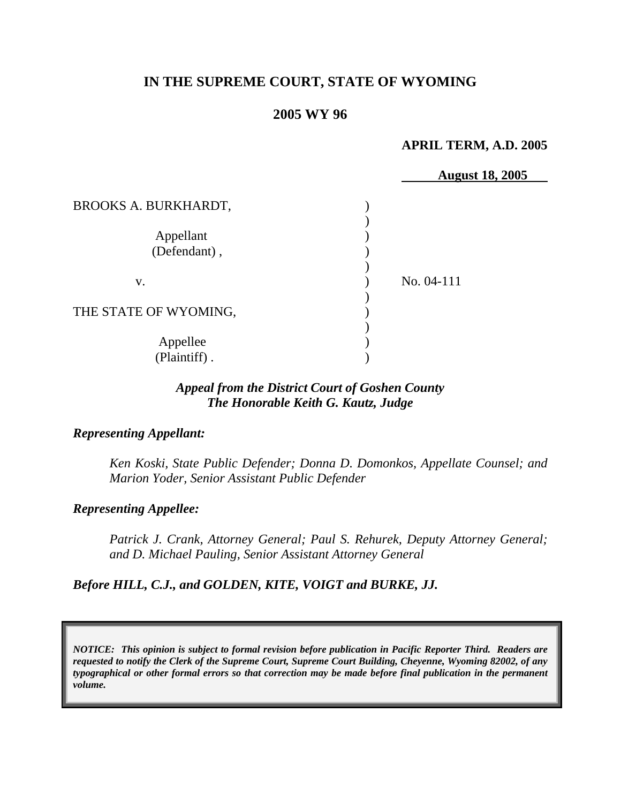# **IN THE SUPREME COURT, STATE OF WYOMING**

### **2005 WY 96**

#### **APRIL TERM, A.D. 2005**

|                             | <b>August 18, 2005</b> |
|-----------------------------|------------------------|
| <b>BROOKS A. BURKHARDT,</b> |                        |
|                             |                        |
| Appellant                   |                        |
| (Defendant),                |                        |
|                             |                        |
| V.                          | No. 04-111             |
|                             |                        |
| THE STATE OF WYOMING,       |                        |
|                             |                        |
| Appellee                    |                        |
| (Plaintiff).                |                        |

## *Appeal from the District Court of Goshen County The Honorable Keith G. Kautz, Judge*

### *Representing Appellant:*

*Ken Koski, State Public Defender; Donna D. Domonkos, Appellate Counsel; and Marion Yoder, Senior Assistant Public Defender* 

### *Representing Appellee:*

*Patrick J. Crank, Attorney General; Paul S. Rehurek, Deputy Attorney General; and D. Michael Pauling, Senior Assistant Attorney General* 

## *Before HILL, C.J., and GOLDEN, KITE, VOIGT and BURKE, JJ.*

*NOTICE: This opinion is subject to formal revision before publication in Pacific Reporter Third. Readers are requested to notify the Clerk of the Supreme Court, Supreme Court Building, Cheyenne, Wyoming 82002, of any typographical or other formal errors so that correction may be made before final publication in the permanent volume.*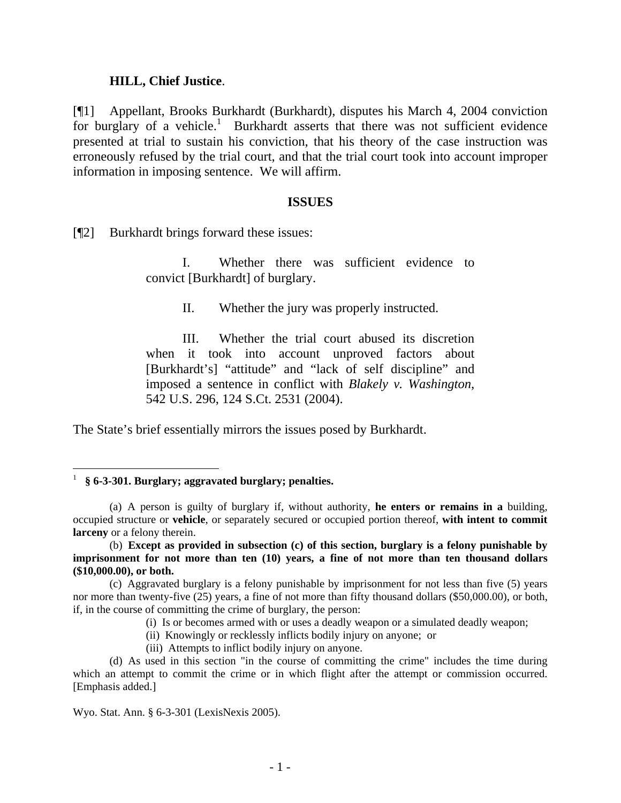#### **HILL, Chief Justice**.

[¶1] Appellant, Brooks Burkhardt (Burkhardt), disputes his March 4, 2004 conviction for burglary of a vehicle.<sup>[1](#page-2-0)</sup> Burkhardt asserts that there was not sufficient evidence presented at trial to sustain his conviction, that his theory of the case instruction was erroneously refused by the trial court, and that the trial court took into account improper information in imposing sentence. We will affirm.

#### **ISSUES**

[¶2] Burkhardt brings forward these issues:

I. Whether there was sufficient evidence to convict [Burkhardt] of burglary.

II. Whether the jury was properly instructed.

III. Whether the trial court abused its discretion when it took into account unproved factors about [Burkhardt's] "attitude" and "lack of self discipline" and imposed a sentence in conflict with *Blakely v. Washington*, 542 U.S. 296, 124 S.Ct. 2531 (2004).

The State's brief essentially mirrors the issues posed by Burkhardt.

- (i) Is or becomes armed with or uses a deadly weapon or a simulated deadly weapon;
- (ii) Knowingly or recklessly inflicts bodily injury on anyone; or
- (iii) Attempts to inflict bodily injury on anyone.

(d) As used in this section "in the course of committing the crime" includes the time during which an attempt to commit the crime or in which flight after the attempt or commission occurred. [Emphasis added.]

Wyo. Stat. Ann. § 6-3-301 (LexisNexis 2005).

<span id="page-2-0"></span><sup>1</sup> **§ 6-3-301. Burglary; aggravated burglary; penalties.**

<sup>(</sup>a) A person is guilty of burglary if, without authority, **he enters or remains in a** building, occupied structure or **vehicle**, or separately secured or occupied portion thereof, **with intent to commit larceny** or a felony therein.

 <sup>(</sup>b) **Except as provided in subsection (c) of this section, burglary is a felony punishable by imprisonment for not more than ten (10) years, a fine of not more than ten thousand dollars (\$10,000.00), or both.**

<sup>(</sup>c) Aggravated burglary is a felony punishable by imprisonment for not less than five (5) years nor more than twenty-five (25) years, a fine of not more than fifty thousand dollars (\$50,000.00), or both, if, in the course of committing the crime of burglary, the person: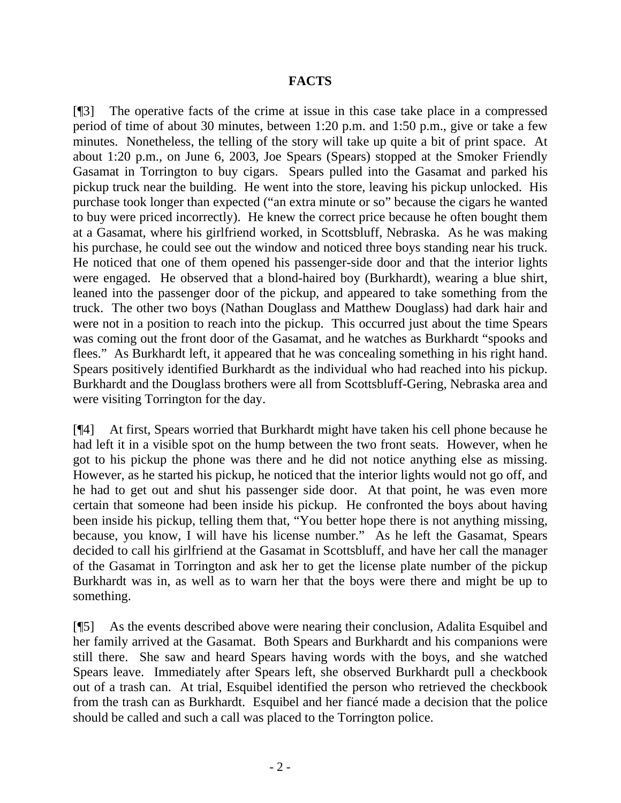### **FACTS**

[¶3] The operative facts of the crime at issue in this case take place in a compressed period of time of about 30 minutes, between 1:20 p.m. and 1:50 p.m., give or take a few minutes. Nonetheless, the telling of the story will take up quite a bit of print space. At about 1:20 p.m., on June 6, 2003, Joe Spears (Spears) stopped at the Smoker Friendly Gasamat in Torrington to buy cigars. Spears pulled into the Gasamat and parked his pickup truck near the building. He went into the store, leaving his pickup unlocked. His purchase took longer than expected ("an extra minute or so" because the cigars he wanted to buy were priced incorrectly). He knew the correct price because he often bought them at a Gasamat, where his girlfriend worked, in Scottsbluff, Nebraska. As he was making his purchase, he could see out the window and noticed three boys standing near his truck. He noticed that one of them opened his passenger-side door and that the interior lights were engaged. He observed that a blond-haired boy (Burkhardt), wearing a blue shirt, leaned into the passenger door of the pickup, and appeared to take something from the truck. The other two boys (Nathan Douglass and Matthew Douglass) had dark hair and were not in a position to reach into the pickup. This occurred just about the time Spears was coming out the front door of the Gasamat, and he watches as Burkhardt "spooks and flees." As Burkhardt left, it appeared that he was concealing something in his right hand. Spears positively identified Burkhardt as the individual who had reached into his pickup. Burkhardt and the Douglass brothers were all from Scottsbluff-Gering, Nebraska area and were visiting Torrington for the day.

[¶4] At first, Spears worried that Burkhardt might have taken his cell phone because he had left it in a visible spot on the hump between the two front seats. However, when he got to his pickup the phone was there and he did not notice anything else as missing. However, as he started his pickup, he noticed that the interior lights would not go off, and he had to get out and shut his passenger side door. At that point, he was even more certain that someone had been inside his pickup. He confronted the boys about having been inside his pickup, telling them that, "You better hope there is not anything missing, because, you know, I will have his license number." As he left the Gasamat, Spears decided to call his girlfriend at the Gasamat in Scottsbluff, and have her call the manager of the Gasamat in Torrington and ask her to get the license plate number of the pickup Burkhardt was in, as well as to warn her that the boys were there and might be up to something.

[¶5] As the events described above were nearing their conclusion, Adalita Esquibel and her family arrived at the Gasamat. Both Spears and Burkhardt and his companions were still there. She saw and heard Spears having words with the boys, and she watched Spears leave. Immediately after Spears left, she observed Burkhardt pull a checkbook out of a trash can. At trial, Esquibel identified the person who retrieved the checkbook from the trash can as Burkhardt. Esquibel and her fiancé made a decision that the police should be called and such a call was placed to the Torrington police.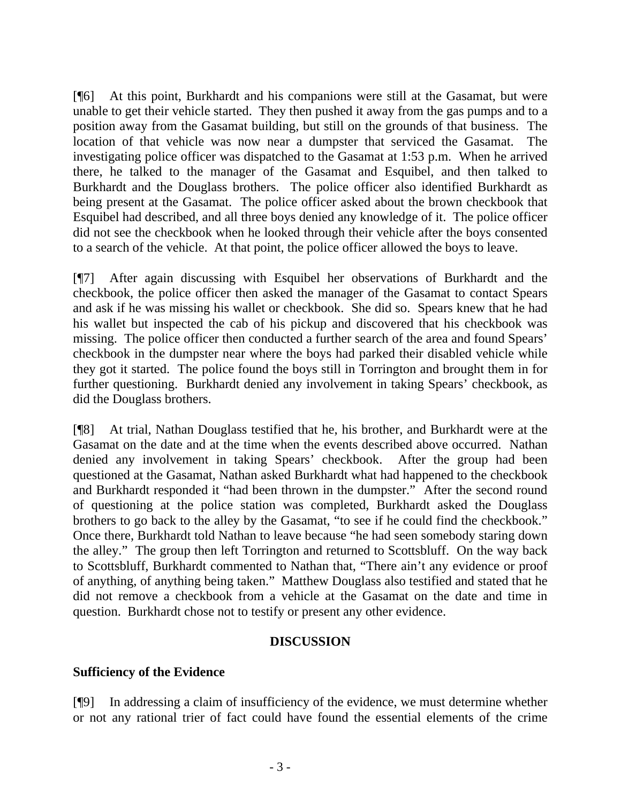[¶6] At this point, Burkhardt and his companions were still at the Gasamat, but were unable to get their vehicle started. They then pushed it away from the gas pumps and to a position away from the Gasamat building, but still on the grounds of that business. The location of that vehicle was now near a dumpster that serviced the Gasamat. investigating police officer was dispatched to the Gasamat at 1:53 p.m. When he arrived there, he talked to the manager of the Gasamat and Esquibel, and then talked to Burkhardt and the Douglass brothers. The police officer also identified Burkhardt as being present at the Gasamat. The police officer asked about the brown checkbook that Esquibel had described, and all three boys denied any knowledge of it. The police officer did not see the checkbook when he looked through their vehicle after the boys consented to a search of the vehicle. At that point, the police officer allowed the boys to leave.

[¶7] After again discussing with Esquibel her observations of Burkhardt and the checkbook, the police officer then asked the manager of the Gasamat to contact Spears and ask if he was missing his wallet or checkbook. She did so. Spears knew that he had his wallet but inspected the cab of his pickup and discovered that his checkbook was missing. The police officer then conducted a further search of the area and found Spears' checkbook in the dumpster near where the boys had parked their disabled vehicle while they got it started. The police found the boys still in Torrington and brought them in for further questioning. Burkhardt denied any involvement in taking Spears' checkbook, as did the Douglass brothers.

[¶8] At trial, Nathan Douglass testified that he, his brother, and Burkhardt were at the Gasamat on the date and at the time when the events described above occurred. Nathan denied any involvement in taking Spears' checkbook. After the group had been questioned at the Gasamat, Nathan asked Burkhardt what had happened to the checkbook and Burkhardt responded it "had been thrown in the dumpster." After the second round of questioning at the police station was completed, Burkhardt asked the Douglass brothers to go back to the alley by the Gasamat, "to see if he could find the checkbook." Once there, Burkhardt told Nathan to leave because "he had seen somebody staring down the alley." The group then left Torrington and returned to Scottsbluff. On the way back to Scottsbluff, Burkhardt commented to Nathan that, "There ain't any evidence or proof of anything, of anything being taken." Matthew Douglass also testified and stated that he did not remove a checkbook from a vehicle at the Gasamat on the date and time in question. Burkhardt chose not to testify or present any other evidence.

### **DISCUSSION**

### **Sufficiency of the Evidence**

[¶9] In addressing a claim of insufficiency of the evidence, we must determine whether or not any rational trier of fact could have found the essential elements of the crime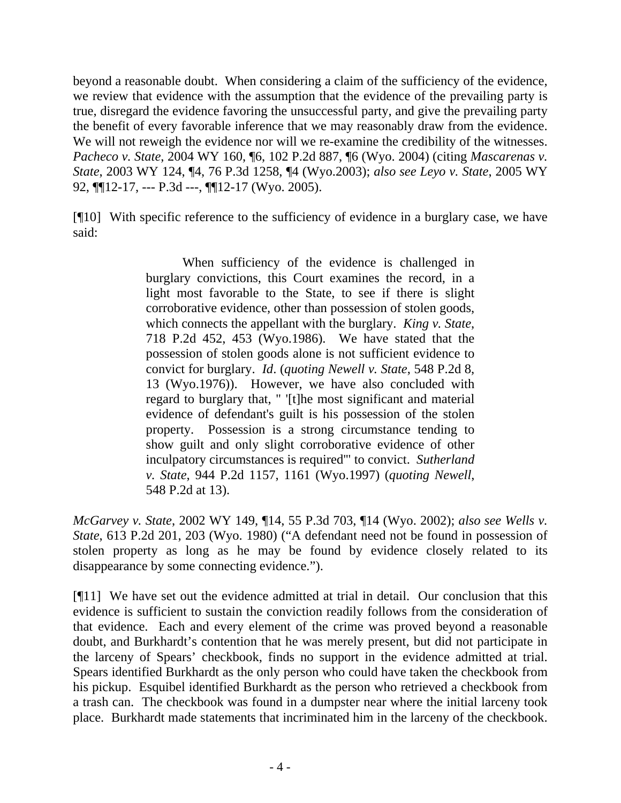beyond a reasonable doubt. When considering a claim of the sufficiency of the evidence, we review that evidence with the assumption that the evidence of the prevailing party is true, disregard the evidence favoring the unsuccessful party, and give the prevailing party the benefit of every favorable inference that we may reasonably draw from the evidence. We will not reweigh the evidence nor will we re-examine the credibility of the witnesses. *Pacheco v. State*, 2004 WY 160, ¶6, 102 P.2d 887, ¶6 (Wyo. 2004) (citing *Mascarenas v. State*, 2003 WY 124, ¶4, 76 P.3d 1258, ¶4 (Wyo.2003); *also see Leyo v. State*, 2005 WY 92, ¶¶12-17, --- P.3d ---, ¶¶12-17 (Wyo. 2005).

[¶10] With specific reference to the sufficiency of evidence in a burglary case, we have said:

> When sufficiency of the evidence is challenged in burglary convictions, this Court examines the record, in a light most favorable to the State, to see if there is slight corroborative evidence, other than possession of stolen goods, which connects the appellant with the burglary. *King v. State*, 718 P.2d 452, 453 (Wyo.1986). We have stated that the possession of stolen goods alone is not sufficient evidence to convict for burglary. *Id*. (*quoting Newell v. State*, 548 P.2d 8, 13 (Wyo.1976)). However, we have also concluded with regard to burglary that, " '[t]he most significant and material evidence of defendant's guilt is his possession of the stolen property. Possession is a strong circumstance tending to show guilt and only slight corroborative evidence of other inculpatory circumstances is required'" to convict. *Sutherland v. State*, 944 P.2d 1157, 1161 (Wyo.1997) (*quoting Newell*, 548 P.2d at 13).

*McGarvey v. State*, 2002 WY 149, ¶14, 55 P.3d 703, ¶14 (Wyo. 2002); *also see Wells v. State*, 613 P.2d 201, 203 (Wyo. 1980) ("A defendant need not be found in possession of stolen property as long as he may be found by evidence closely related to its disappearance by some connecting evidence.").

[¶11] We have set out the evidence admitted at trial in detail. Our conclusion that this evidence is sufficient to sustain the conviction readily follows from the consideration of that evidence. Each and every element of the crime was proved beyond a reasonable doubt, and Burkhardt's contention that he was merely present, but did not participate in the larceny of Spears' checkbook, finds no support in the evidence admitted at trial. Spears identified Burkhardt as the only person who could have taken the checkbook from his pickup. Esquibel identified Burkhardt as the person who retrieved a checkbook from a trash can. The checkbook was found in a dumpster near where the initial larceny took place. Burkhardt made statements that incriminated him in the larceny of the checkbook.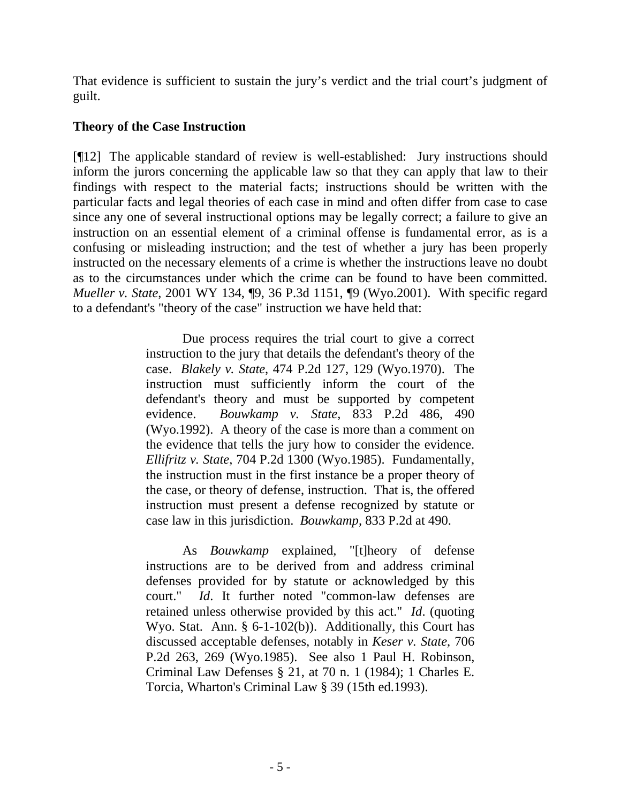That evidence is sufficient to sustain the jury's verdict and the trial court's judgment of guilt.

## **Theory of the Case Instruction**

[¶12] The applicable standard of review is well-established: Jury instructions should inform the jurors concerning the applicable law so that they can apply that law to their findings with respect to the material facts; instructions should be written with the particular facts and legal theories of each case in mind and often differ from case to case since any one of several instructional options may be legally correct; a failure to give an instruction on an essential element of a criminal offense is fundamental error, as is a confusing or misleading instruction; and the test of whether a jury has been properly instructed on the necessary elements of a crime is whether the instructions leave no doubt as to the circumstances under which the crime can be found to have been committed. *Mueller v. State*, 2001 WY 134, ¶9, 36 P.3d 1151, ¶9 (Wyo.2001). With specific regard to a defendant's "theory of the case" instruction we have held that:

> Due process requires the trial court to give a correct instruction to the jury that details the defendant's theory of the case. *Blakely v. State*, 474 P.2d 127, 129 (Wyo.1970). The instruction must sufficiently inform the court of the defendant's theory and must be supported by competent evidence. *Bouwkamp v. State*, 833 P.2d 486, 490 (Wyo.1992). A theory of the case is more than a comment on the evidence that tells the jury how to consider the evidence. *Ellifritz v. State*, 704 P.2d 1300 (Wyo.1985). Fundamentally, the instruction must in the first instance be a proper theory of the case, or theory of defense, instruction. That is, the offered instruction must present a defense recognized by statute or case law in this jurisdiction. *Bouwkamp*, 833 P.2d at 490.

> As *Bouwkamp* explained, "[t]heory of defense instructions are to be derived from and address criminal defenses provided for by statute or acknowledged by this court." *Id*. It further noted "common-law defenses are retained unless otherwise provided by this act." *Id*. (quoting Wyo. Stat. Ann. § 6-1-102(b)). Additionally, this Court has discussed acceptable defenses, notably in *Keser v. State*, 706 P.2d 263, 269 (Wyo.1985). See also 1 Paul H. Robinson, Criminal Law Defenses § 21, at 70 n. 1 (1984); 1 Charles E. Torcia, Wharton's Criminal Law § 39 (15th ed.1993).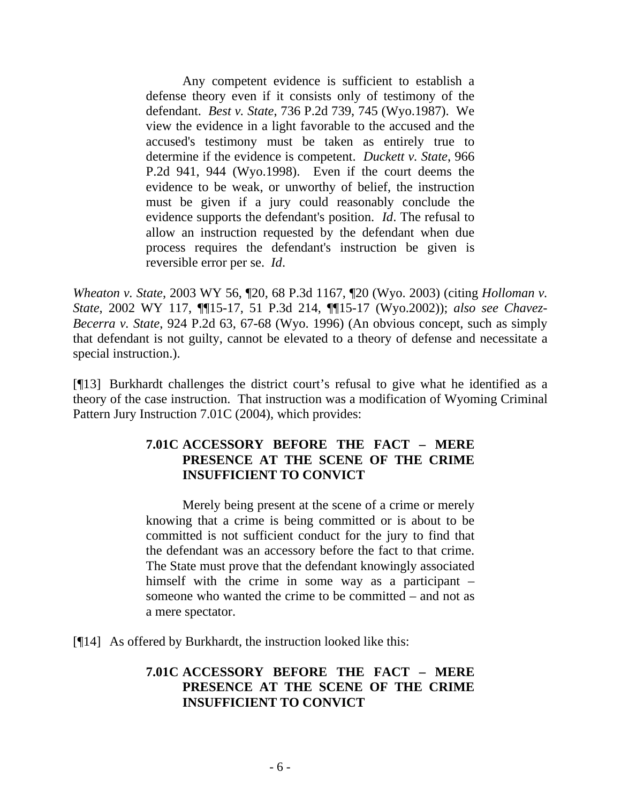Any competent evidence is sufficient to establish a defense theory even if it consists only of testimony of the defendant. *Best v. State*, 736 P.2d 739, 745 (Wyo.1987). We view the evidence in a light favorable to the accused and the accused's testimony must be taken as entirely true to determine if the evidence is competent. *Duckett v. State*, 966 P.2d 941, 944 (Wyo.1998). Even if the court deems the evidence to be weak, or unworthy of belief, the instruction must be given if a jury could reasonably conclude the evidence supports the defendant's position. *Id*. The refusal to allow an instruction requested by the defendant when due process requires the defendant's instruction be given is reversible error per se. *Id*.

*Wheaton v. State*, 2003 WY 56, ¶20, 68 P.3d 1167, ¶20 (Wyo. 2003) (citing *Holloman v. State*, 2002 WY 117, ¶¶15-17, 51 P.3d 214, ¶¶15-17 (Wyo.2002)); *also see Chavez-Becerra v. State*, 924 P.2d 63, 67-68 (Wyo. 1996) (An obvious concept, such as simply that defendant is not guilty, cannot be elevated to a theory of defense and necessitate a special instruction.).

[¶13] Burkhardt challenges the district court's refusal to give what he identified as a theory of the case instruction. That instruction was a modification of Wyoming Criminal Pattern Jury Instruction 7.01C (2004), which provides:

## **7.01C ACCESSORY BEFORE THE FACT – MERE PRESENCE AT THE SCENE OF THE CRIME INSUFFICIENT TO CONVICT**

Merely being present at the scene of a crime or merely knowing that a crime is being committed or is about to be committed is not sufficient conduct for the jury to find that the defendant was an accessory before the fact to that crime. The State must prove that the defendant knowingly associated himself with the crime in some way as a participant – someone who wanted the crime to be committed – and not as a mere spectator.

[¶14] As offered by Burkhardt, the instruction looked like this:

## **7.01C ACCESSORY BEFORE THE FACT – MERE PRESENCE AT THE SCENE OF THE CRIME INSUFFICIENT TO CONVICT**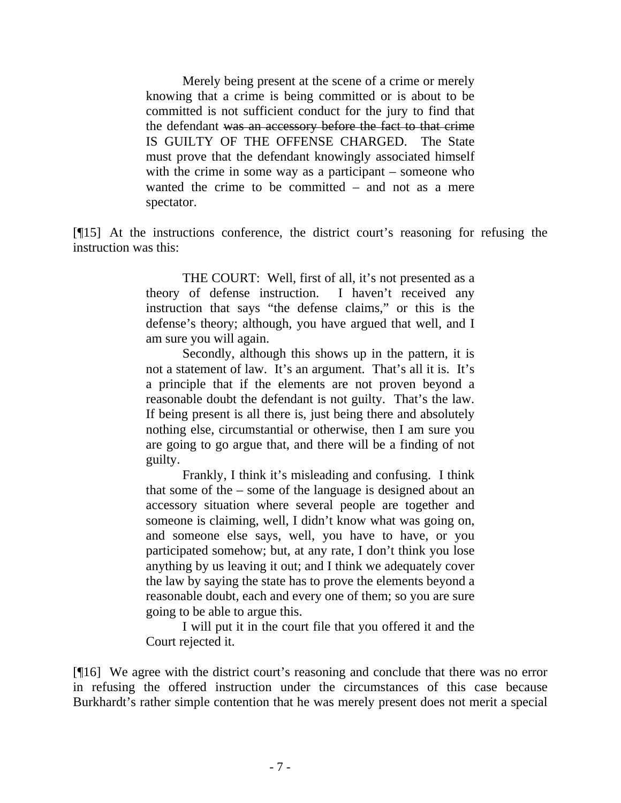Merely being present at the scene of a crime or merely knowing that a crime is being committed or is about to be committed is not sufficient conduct for the jury to find that the defendant was an accessory before the fact to that crime IS GUILTY OF THE OFFENSE CHARGED. The State must prove that the defendant knowingly associated himself with the crime in some way as a participant – someone who wanted the crime to be committed – and not as a mere spectator.

[¶15] At the instructions conference, the district court's reasoning for refusing the instruction was this:

> THE COURT: Well, first of all, it's not presented as a theory of defense instruction. I haven't received any instruction that says "the defense claims," or this is the defense's theory; although, you have argued that well, and I am sure you will again.

> Secondly, although this shows up in the pattern, it is not a statement of law. It's an argument. That's all it is. It's a principle that if the elements are not proven beyond a reasonable doubt the defendant is not guilty. That's the law. If being present is all there is, just being there and absolutely nothing else, circumstantial or otherwise, then I am sure you are going to go argue that, and there will be a finding of not guilty.

> Frankly, I think it's misleading and confusing. I think that some of the – some of the language is designed about an accessory situation where several people are together and someone is claiming, well, I didn't know what was going on, and someone else says, well, you have to have, or you participated somehow; but, at any rate, I don't think you lose anything by us leaving it out; and I think we adequately cover the law by saying the state has to prove the elements beyond a reasonable doubt, each and every one of them; so you are sure going to be able to argue this.

> I will put it in the court file that you offered it and the Court rejected it.

[¶16] We agree with the district court's reasoning and conclude that there was no error in refusing the offered instruction under the circumstances of this case because Burkhardt's rather simple contention that he was merely present does not merit a special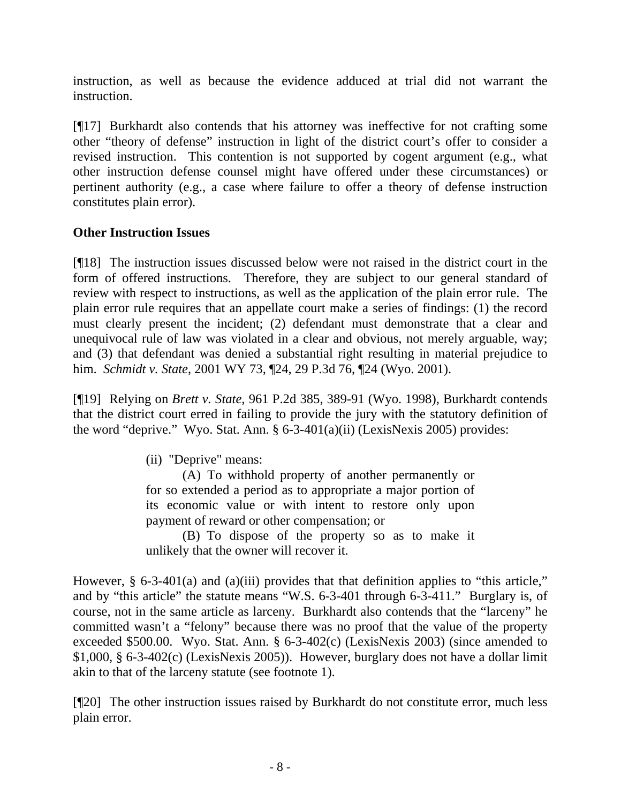instruction, as well as because the evidence adduced at trial did not warrant the instruction.

[¶17] Burkhardt also contends that his attorney was ineffective for not crafting some other "theory of defense" instruction in light of the district court's offer to consider a revised instruction. This contention is not supported by cogent argument (e.g., what other instruction defense counsel might have offered under these circumstances) or pertinent authority (e.g., a case where failure to offer a theory of defense instruction constitutes plain error).

# **Other Instruction Issues**

[¶18] The instruction issues discussed below were not raised in the district court in the form of offered instructions. Therefore, they are subject to our general standard of review with respect to instructions, as well as the application of the plain error rule. The plain error rule requires that an appellate court make a series of findings: (1) the record must clearly present the incident; (2) defendant must demonstrate that a clear and unequivocal rule of law was violated in a clear and obvious, not merely arguable, way; and (3) that defendant was denied a substantial right resulting in material prejudice to him. *Schmidt v. State*, 2001 WY 73, ¶24, 29 P.3d 76, ¶24 (Wyo. 2001).

[¶19] Relying on *Brett v. State*, 961 P.2d 385, 389-91 (Wyo. 1998), Burkhardt contends that the district court erred in failing to provide the jury with the statutory definition of the word "deprive." Wyo. Stat. Ann. § 6-3-401(a)(ii) (LexisNexis 2005) provides:

(ii) "Deprive" means:

(A) To withhold property of another permanently or for so extended a period as to appropriate a major portion of its economic value or with intent to restore only upon payment of reward or other compensation; or

(B) To dispose of the property so as to make it unlikely that the owner will recover it.

However, § 6-3-401(a) and (a)(iii) provides that that definition applies to "this article," and by "this article" the statute means "W.S. 6-3-401 through 6-3-411." Burglary is, of course, not in the same article as larceny. Burkhardt also contends that the "larceny" he committed wasn't a "felony" because there was no proof that the value of the property exceeded \$500.00. Wyo. Stat. Ann. § 6-3-402(c) (LexisNexis 2003) (since amended to \$1,000, § 6-3-402(c) (LexisNexis 2005)). However, burglary does not have a dollar limit akin to that of the larceny statute (see footnote 1).

[¶20] The other instruction issues raised by Burkhardt do not constitute error, much less plain error.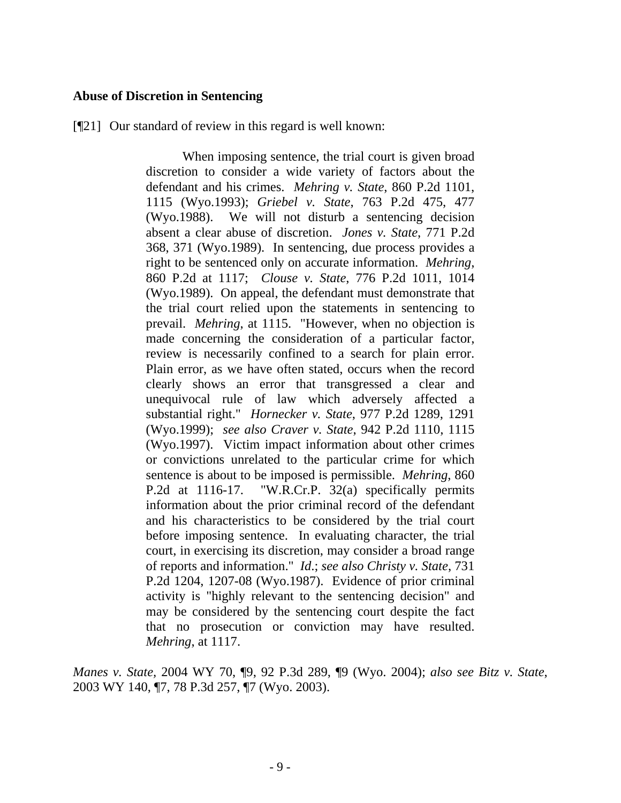#### **Abuse of Discretion in Sentencing**

[¶21] Our standard of review in this regard is well known:

When imposing sentence, the trial court is given broad discretion to consider a wide variety of factors about the defendant and his crimes. *Mehring v. State*, 860 P.2d 1101, 1115 (Wyo.1993); *Griebel v. State*, 763 P.2d 475, 477 (Wyo.1988). We will not disturb a sentencing decision absent a clear abuse of discretion. *Jones v. State*, 771 P.2d 368, 371 (Wyo.1989). In sentencing, due process provides a right to be sentenced only on accurate information. *Mehring*, 860 P.2d at 1117; *Clouse v. State*, 776 P.2d 1011, 1014 (Wyo.1989). On appeal, the defendant must demonstrate that the trial court relied upon the statements in sentencing to prevail. *Mehring*, at 1115. "However, when no objection is made concerning the consideration of a particular factor, review is necessarily confined to a search for plain error. Plain error, as we have often stated, occurs when the record clearly shows an error that transgressed a clear and unequivocal rule of law which adversely affected a substantial right." *Hornecker v. State*, 977 P.2d 1289, 1291 (Wyo.1999); *see also Craver v. State*, 942 P.2d 1110, 1115 (Wyo.1997). Victim impact information about other crimes or convictions unrelated to the particular crime for which sentence is about to be imposed is permissible. *Mehring*, 860 P.2d at 1116-17. "W.R.Cr.P. 32(a) specifically permits information about the prior criminal record of the defendant and his characteristics to be considered by the trial court before imposing sentence. In evaluating character, the trial court, in exercising its discretion, may consider a broad range of reports and information." *Id*.; *see also Christy v. State*, 731 P.2d 1204, 1207-08 (Wyo.1987). Evidence of prior criminal activity is "highly relevant to the sentencing decision" and may be considered by the sentencing court despite the fact that no prosecution or conviction may have resulted. *Mehring*, at 1117.

*Manes v. State,* 2004 WY 70, ¶9, 92 P.3d 289, ¶9 (Wyo. 2004); *also see Bitz v. State*, 2003 WY 140, ¶7, 78 P.3d 257, ¶7 (Wyo. 2003).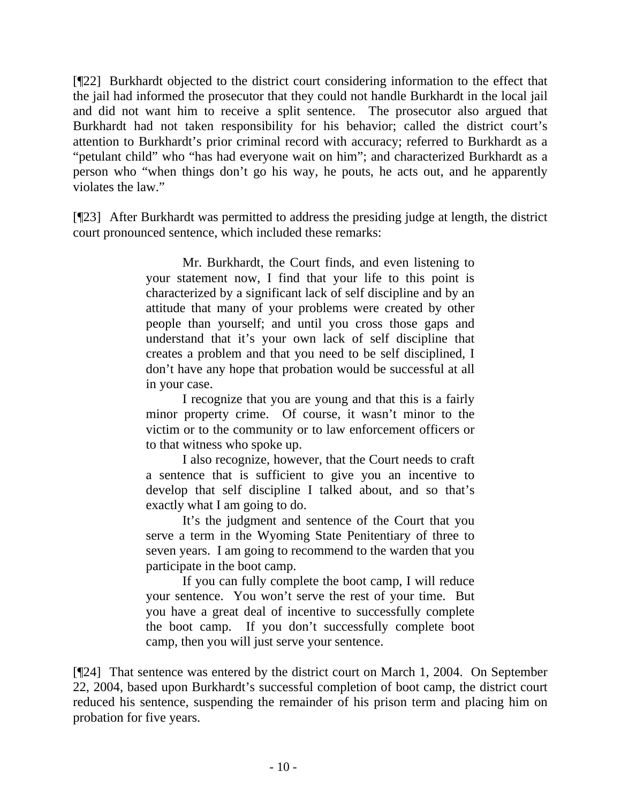[¶22] Burkhardt objected to the district court considering information to the effect that the jail had informed the prosecutor that they could not handle Burkhardt in the local jail and did not want him to receive a split sentence. The prosecutor also argued that Burkhardt had not taken responsibility for his behavior; called the district court's attention to Burkhardt's prior criminal record with accuracy; referred to Burkhardt as a "petulant child" who "has had everyone wait on him"; and characterized Burkhardt as a person who "when things don't go his way, he pouts, he acts out, and he apparently violates the law."

[¶23] After Burkhardt was permitted to address the presiding judge at length, the district court pronounced sentence, which included these remarks:

> Mr. Burkhardt, the Court finds, and even listening to your statement now, I find that your life to this point is characterized by a significant lack of self discipline and by an attitude that many of your problems were created by other people than yourself; and until you cross those gaps and understand that it's your own lack of self discipline that creates a problem and that you need to be self disciplined, I don't have any hope that probation would be successful at all in your case.

> I recognize that you are young and that this is a fairly minor property crime. Of course, it wasn't minor to the victim or to the community or to law enforcement officers or to that witness who spoke up.

> I also recognize, however, that the Court needs to craft a sentence that is sufficient to give you an incentive to develop that self discipline I talked about, and so that's exactly what I am going to do.

> It's the judgment and sentence of the Court that you serve a term in the Wyoming State Penitentiary of three to seven years. I am going to recommend to the warden that you participate in the boot camp.

> If you can fully complete the boot camp, I will reduce your sentence. You won't serve the rest of your time. But you have a great deal of incentive to successfully complete the boot camp. If you don't successfully complete boot camp, then you will just serve your sentence.

[¶24] That sentence was entered by the district court on March 1, 2004. On September 22, 2004, based upon Burkhardt's successful completion of boot camp, the district court reduced his sentence, suspending the remainder of his prison term and placing him on probation for five years.